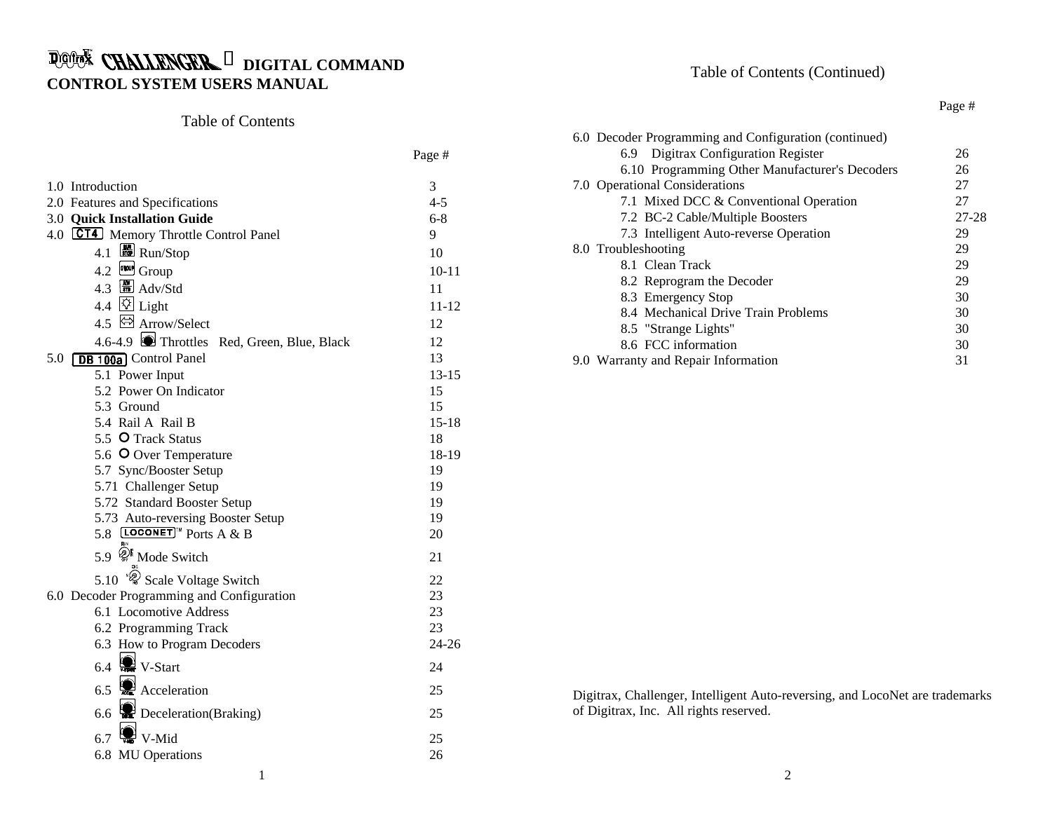# **DIGITAL COMMAND CONTROL SYSTEM USERS MANUAL**

# Table of Contents

|                                              | Page #    |
|----------------------------------------------|-----------|
| 1.0 Introduction                             | 3         |
| 2.0 Features and Specifications              | $4 - 5$   |
| 3.0 Quick Installation Guide                 | $6 - 8$   |
| 4.0 CT4 Memory Throttle Control Panel        | 9         |
| 4.1 <b>Run</b> /Stop                         | 10        |
| 4.2 GROUP Group                              | $10 - 11$ |
| $4.3$ $\frac{10}{50}$ Adv/Std                | 11        |
| 4.4 $\overline{\boxtimes}$ Light             | $11 - 12$ |
| 4.5 & Arrow/Select                           | 12        |
| 4.6-4.9 Throttles Red, Green, Blue, Black    | 12        |
| 5.0 [DB 100a] Control Panel                  | 13        |
| 5.1 Power Input                              | $13 - 15$ |
| 5.2 Power On Indicator                       | 15        |
| 5.3 Ground                                   | 15        |
| 5.4 Rail A Rail B                            | $15 - 18$ |
| 5.5 O Track Status                           | 18        |
| 5.6 O Over Temperature                       | 18-19     |
| 5.7 Sync/Booster Setup                       | 19        |
| 5.71 Challenger Setup                        | 19        |
| 5.72 Standard Booster Setup                  | 19        |
| 5.73 Auto-reversing Booster Setup            | 19        |
| 5.8 <b>LOCONET</b> <sup>IM</sup> Ports A & B | 20        |
| 5.9 <sup>of</sup> Mode Switch                | 21        |
| 5.10 <sup>@</sup> Scale Voltage Switch       | 22        |
| 6.0 Decoder Programming and Configuration    | 23        |
| 6.1 Locomotive Address                       | 23        |
| 6.2 Programming Track                        | 23        |
| 6.3 How to Program Decoders                  | $24 - 26$ |
| 6.4 $\bullet$ V-Start                        | 24        |
| 6.5 $\bigcirc$ Acceleration                  | 25        |
| 6.6 <b>Deceleration</b> (Braking)            | 25        |
| $6.7$ We V-Mid                               | 25        |
| 6.8 MU Operations                            | 26        |
| 1                                            |           |

# Table of Contents (Continued)

#### Page #

| 26        |
|-----------|
| 26        |
| 27        |
| 27        |
| $27 - 28$ |
| 29        |
| 29        |
| 29        |
| 29        |
| 30        |
| 30        |
| 30        |
| 30        |
| 31        |
|           |

Digitrax, Challenger, Intelligent Auto-reversing, and LocoNet are trademarks of Digitrax, Inc. All rights reserved.

2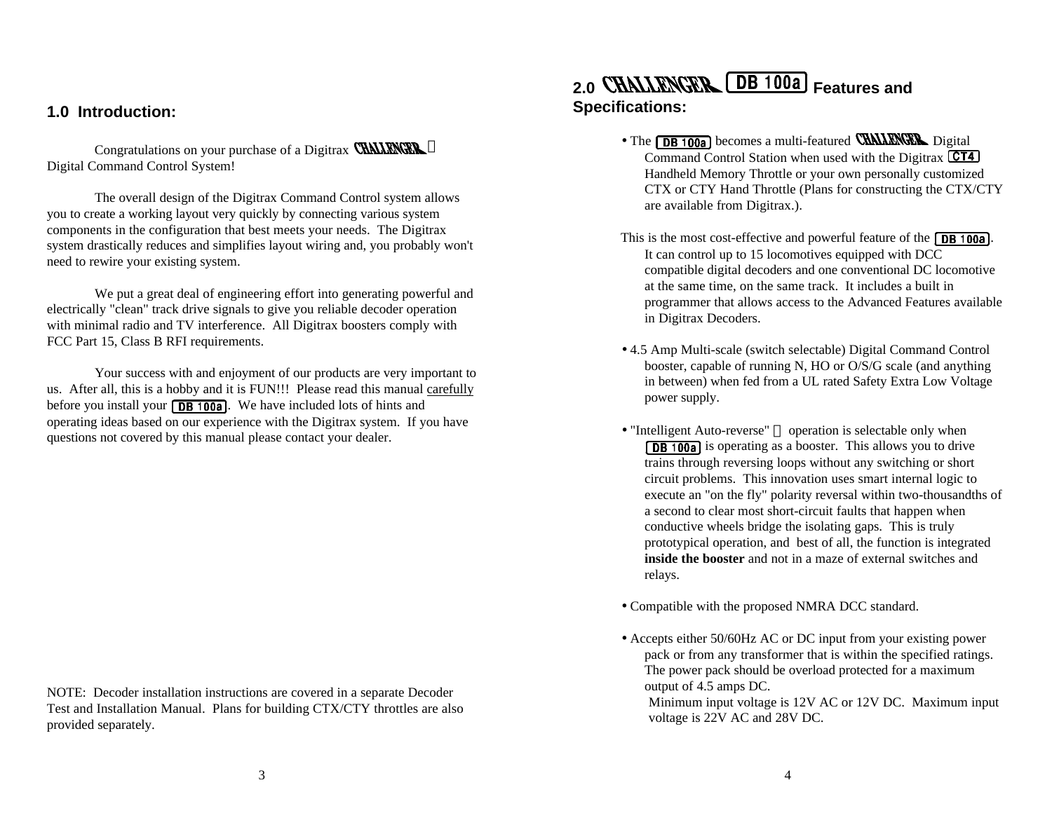### **1.0 Introduction:**

Congratulations on your purchase of a Digitrax CHALLENGER TM Digital Command Control System!

The overall design of the Digitrax Command Control system allows you to create a working layout very quickly by connecting various system components in the configuration that best meets your needs. The Digitrax system drastically reduces and simplifies layout wiring and, you probably won't need to rewire your existing system.

We put a great deal of engineering effort into generating powerful and electrically "clean" track drive signals to give you reliable decoder operation with minimal radio and TV interference. All Digitrax boosters comply with FCC Part 15, Class B RFI requirements.

Your success with and enjoyment of our products are very important to us. After all, this is a hobby and it is FUN!!! Please read this manual carefully before you install your  $\sqrt{DB + 100a}$ . We have included lots of hints and operating ideas based on our experience with the Digitrax system. If you have questions not covered by this manual please contact your dealer.

NOTE: Decoder installation instructions are covered in a separate Decoder Test and Installation Manual. Plans for building CTX/CTY throttles are also provided separately.

# 2.0 **CHALLENGER** [DB 100a] Features and **Specifications:**

- The **DB 100a** becomes a multi-featured **CHALLENGER** Digital Command Control Station when used with the Digitrax **CT4** Handheld Memory Throttle or your own personally customized CTX or CTY Hand Throttle (Plans for constructing the CTX/CTY are available from Digitrax.).
- This is the most cost-effective and powerful feature of the  $\sqrt{DB + 100a}$ . It can control up to 15 locomotives equipped with DCC compatible digital decoders and one conventional DC locomotive at the same time, on the same track. It includes a built in programmer that allows access to the Advanced Features available in Digitrax Decoders.
- 4.5 Amp Multi-scale (switch selectable) Digital Command Control booster, capable of running N, HO or O/S/G scale (and anything in between) when fed from a UL rated Safety Extra Low Voltage power supply.
- "Intelligent Auto-reverse"  $TM$  operation is selectable only when **DB 100a** is operating as a booster. This allows you to drive trains through reversing loops without any switching or short circuit problems. This innovation uses smart internal logic to execute an "on the fly" polarity reversal within two-thousandths of a second to clear most short-circuit faults that happen when conductive wheels bridge the isolating gaps. This is truly prototypical operation, and best of all, the function is integrated **inside the booster** and not in a maze of external switches and relays.
- Compatible with the proposed NMRA DCC standard.
- Accepts either 50/60Hz AC or DC input from your existing power pack or from any transformer that is within the specified ratings. The power pack should be overload protected for a maximum output of 4.5 amps DC.

 Minimum input voltage is 12V AC or 12V DC. Maximum input voltage is 22V AC and 28V DC.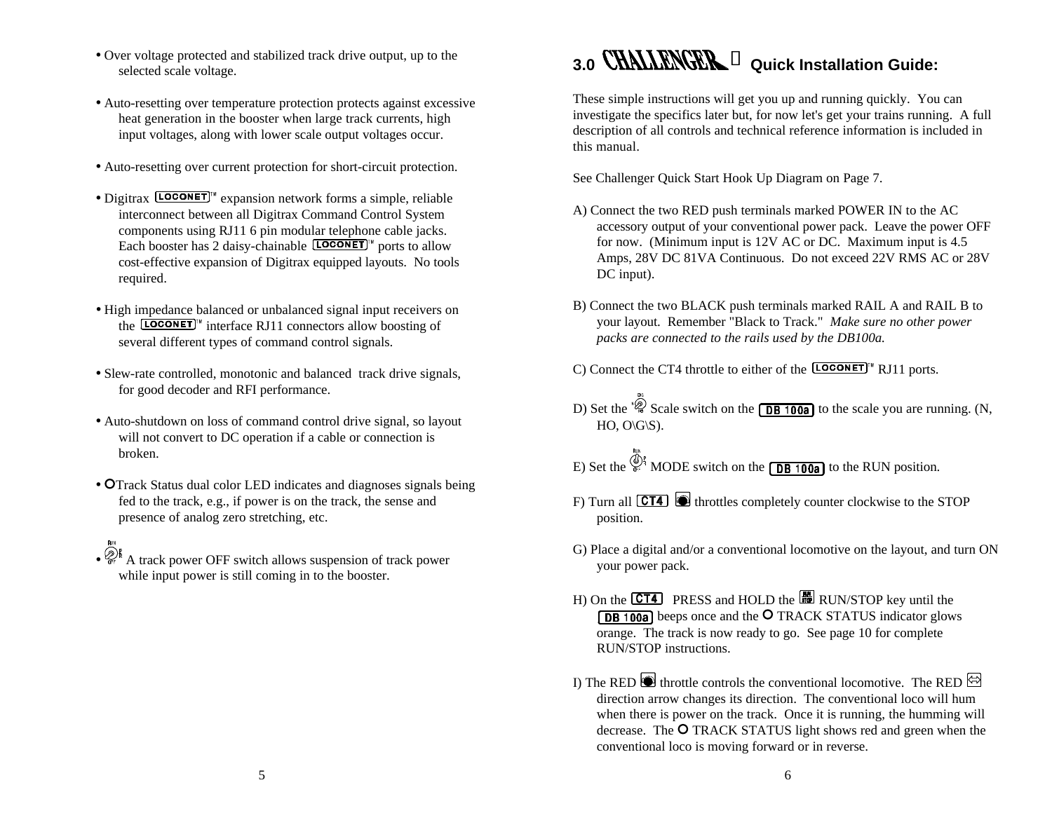- Over voltage protected and stabilized track drive output, up to the selected scale voltage.
- Auto-resetting over temperature protection protects against excessive heat generation in the booster when large track currents, high input voltages, along with lower scale output voltages occur.
- Auto-resetting over current protection for short-circuit protection.
- Digitrax  $\left[ \frac{\text{LOCONET}}{n} \right]$  expansion network forms a simple, reliable interconnect between all Digitrax Command Control System components using RJ11 6 pin modular telephone cable jacks. Each booster has 2 daisy-chainable  $[LOGONET]^w$  ports to allow cost-effective expansion of Digitrax equipped layouts. No tools required.
- High impedance balanced or unbalanced signal input receivers on the  $\overline{[\text{LOCONET}]^n}$  interface RJ11 connectors allow boosting of several different types of command control signals.
- Slew-rate controlled, monotonic and balanced track drive signals, for good decoder and RFI performance.
- Auto-shutdown on loss of command control drive signal, so layout will not convert to DC operation if a cable or connection is broken.
- OTrack Status dual color LED indicates and diagnoses signals being fed to the track, e.g., if power is on the track, the sense and presence of analog zero stretching, etc.
- $\cdot$   $\mathscr{D}_{\text{eff}}^{\text{F}}$  A track power OFF switch allows suspension of track power while input power is still coming in to the booster.

# **3.0 Quick Installation Guide:**

These simple instructions will get you up and running quickly. You can investigate the specifics later but, for now let's get your trains running. A full description of all controls and technical reference information is included in this manual.

See Challenger Quick Start Hook Up Diagram on Page 7.

- A) Connect the two RED push terminals marked POWER IN to the AC accessory output of your conventional power pack. Leave the power OFF for now. (Minimum input is 12V AC or DC. Maximum input is 4.5 Amps, 28V DC 81VA Continuous. Do not exceed 22V RMS AC or 28V DC input).
- B) Connect the two BLACK push terminals marked RAIL A and RAIL B to your layout. Remember "Black to Track." *Make sure no other power packs are connected to the rails used by the DB100a.*
- C) Connect the CT4 throttle to either of the  $[LOGONET]^{m}$  RJ11 ports.
- D) Set the  $\sqrt[\text{i]{\hat{Q}}}$  Scale switch on the **DB 100a** to the scale you are running. (N,  $HO$ ,  $O\setminus G\setminus S$ ).
- E) Set the  $\frac{\mathbb{Q}S_1}{\mathbb{R}^2}$  MODE switch on the **DB 100a** to the RUN position.
- F) Turn all  $\overline{CT4}$   $\bullet$  throttles completely counter clockwise to the STOP position.
- G) Place a digital and/or a conventional locomotive on the layout, and turn ON your power pack.
- H) On the  $\overline{CT4}$  PRESS and HOLD the  $\overline{BD}$  RUN/STOP key until the **DB 100a** beeps once and the **O** TRACK STATUS indicator glows orange. The track is now ready to go. See page 10 for complete RUN/STOP instructions.
- I) The RED  $\bigcirc$  throttle controls the conventional locomotive. The RED  $\bigcirc$ direction arrow changes its direction. The conventional loco will hum when there is power on the track. Once it is running, the humming will decrease. The  $O$  TRACK STATUS light shows red and green when the conventional loco is moving forward or in reverse.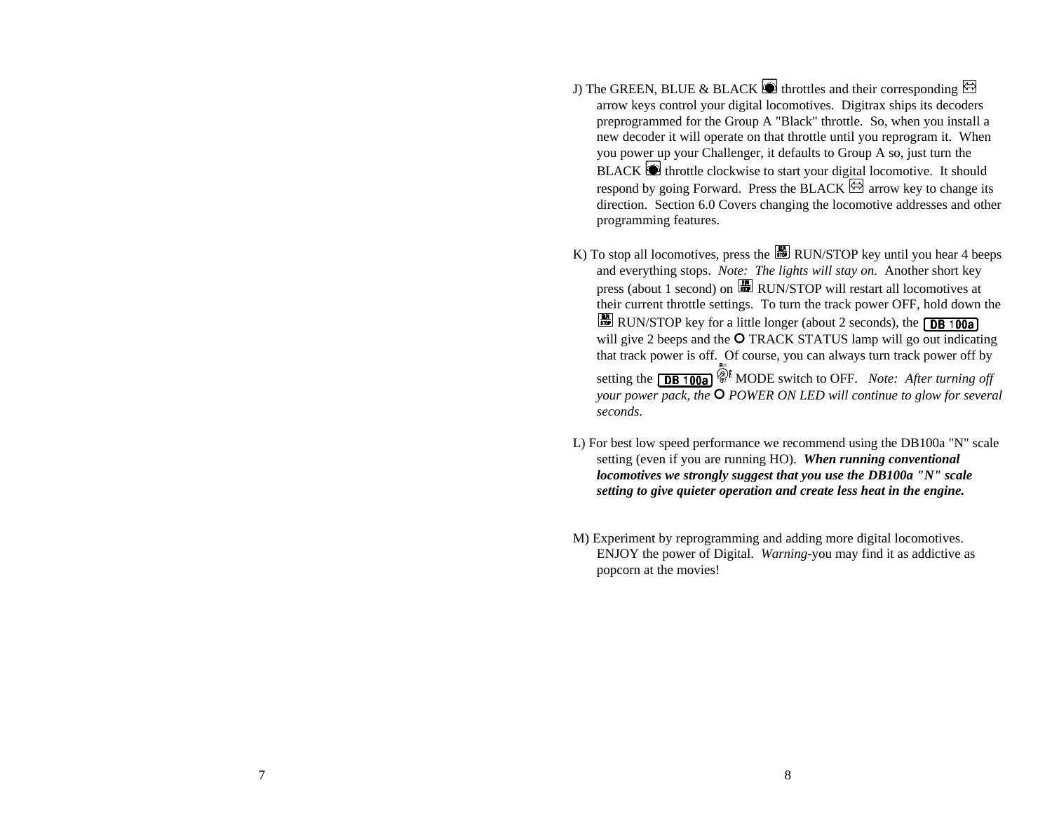- J) The GREEN, BLUE & BLACK  $\bigcirc$  throttles and their corresponding  $\bigcirc$ arrow keys control your digital locomotives. Digitrax ships its decoders preprogrammed for the Group A "Black" throttle. So, when you install a new decoder it will operate on that throttle until you reprogram it. When you power up your Challenger, it defaults to Group A so, just turn the  $BLACK$   $\bullet$  throttle clockwise to start your digital locomotive. It should respond by going Forward. Press the BLACK  $\boxtimes$  arrow key to change its direction. Section 6.0 Covers changing the locomotive addresses and other programming features.
- K) To stop all locomotives, press the  $\Box$  RUN/STOP key until you hear 4 beeps and everything stops. *Note: The lights will stay on.* Another short key press (about 1 second) on RUN/STOP will restart all locomotives at their current throttle settings. To turn the track power OFF, hold down the RUN/STOP key for a little longer (about 2 seconds), the  $\boxed{\text{DB 100a}}$ will give 2 beeps and the O TRACK STATUS lamp will go out indicating that track power is off. Of course, you can always turn track power off by setting the **DB 100a** <sup> $\hat{Q}^{\text{th}}$  MODE switch to OFF. *Note: After turning off*</sup> *your power pack, the*  $\overline{O}$  *POWER ON LED will continue to glow for several seconds.*
- L) For best low speed performance we recommend using the DB100a "N" scale setting (even if you are running HO). *When running conventional locomotives we strongly suggest that you use the DB100a "N" scale setting to give quieter operation and create less heat in the engine.*
- M) Experiment by reprogramming and adding more digital locomotives. ENJOY the power of Digital. *Warning*-you may find it as addictive as popcorn at the movies!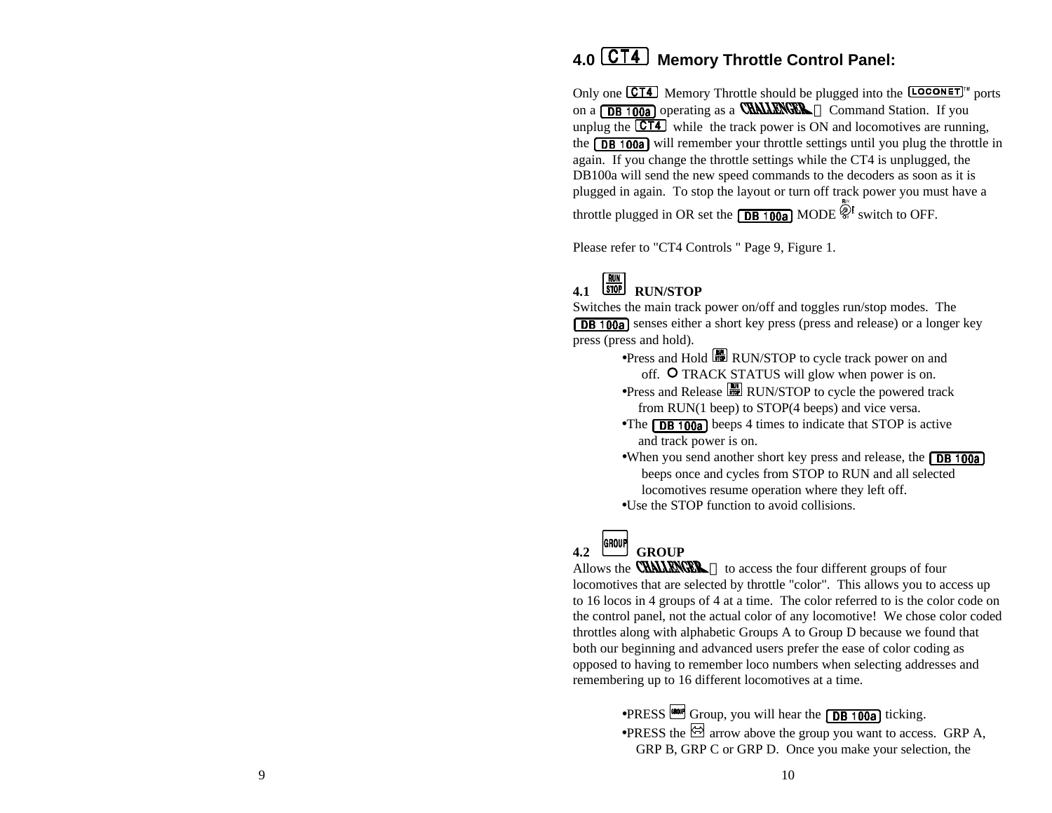# **4.0 Memory Throttle Control Panel:**

Only one  $\overline{CT4}$  Memory Throttle should be plugged into the  $\overline{LOCONET}$ <sup>N</sup> ports on a  $\Box$  **DB 100a** operating as a **CHALLENGER** TM Command Station. If you unplug the  $\boxed{CT4}$  while the track power is ON and locomotives are running, the  $\overline{DB}$  100a) will remember your throttle settings until you plug the throttle in again. If you change the throttle settings while the CT4 is unplugged, the DB100a will send the new speed commands to the decoders as soon as it is plugged in again. To stop the layout or turn off track power you must have a throttle plugged in OR set the  $\Box$  MODE  $\hat{\mathscr{L}}^{\sharp}$  switch to OFF.

Please refer to "CT4 Controls " Page 9, Figure 1.

# **4.1 RUN/STOP**

Switches the main track power on/off and toggles run/stop modes. The **DB 100a** senses either a short key press (press and release) or a longer key press (press and hold).

- •Press and Hold **RUN/STOP** to cycle track power on and off. O TRACK STATUS will glow when power is on.
- $\bullet$ Press and Release  $\Box$  RUN/STOP to cycle the powered track from RUN(1 beep) to STOP(4 beeps) and vice versa.
- •The  $\boxed{DB \ 100a}$  beeps 4 times to indicate that STOP is active and track power is on.
- •When you send another short key press and release, the **DB 100a**  beeps once and cycles from STOP to RUN and all selected locomotives resume operation where they left off.

•Use the STOP function to avoid collisions.

# 4.2 GROUP GROUP

Allows the **CHALLENGER**  $T^M$  to access the four different groups of four locomotives that are selected by throttle "color". This allows you to access up to 16 locos in 4 groups of 4 at a time. The color referred to is the color code on the control panel, not the actual color of any locomotive! We chose color coded throttles along with alphabetic Groups A to Group D because we found that both our beginning and advanced users prefer the ease of color coding as opposed to having to remember loco numbers when selecting addresses and remembering up to 16 different locomotives at a time.

> $\bullet$ PRESS  $\bullet$  Group, you will hear the **DB** 100al ticking.  $\bullet$ PRESS the  $\boxdot$  arrow above the group you want to access. GRP A, GRP B, GRP C or GRP D. Once you make your selection, the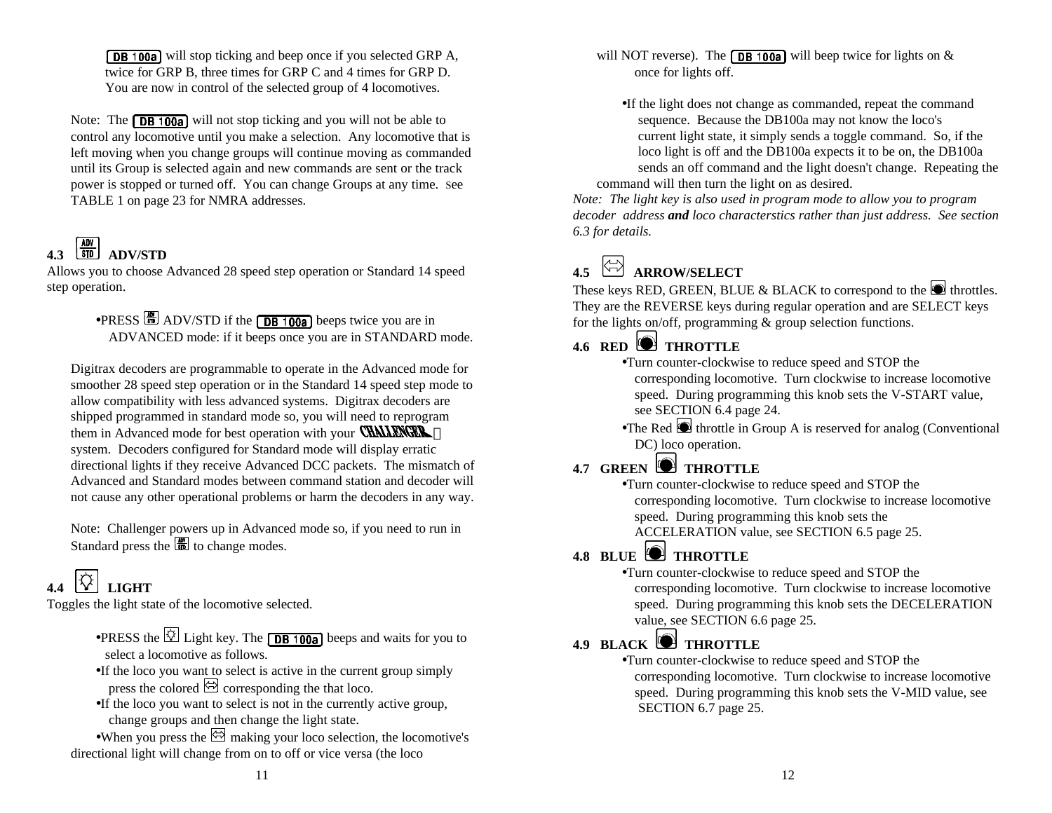**DB 100a** will stop ticking and beep once if you selected GRP A, twice for GRP B, three times for GRP C and 4 times for GRP D. You are now in control of the selected group of 4 locomotives.

Note: The  $\boxed{DB \ 100a}$  will not stop ticking and you will not be able to control any locomotive until you make a selection. Any locomotive that is left moving when you change groups will continue moving as commanded until its Group is selected again and new commands are sent or the track power is stopped or turned off. You can change Groups at any time. See TABLE 1 on page 23 for NMRA addresses.

# **4.3 STD ADV/STD**

Allows you to choose Advanced 28 speed step operation or Standard 14 speed step operation.

## $\bullet$ PRESS  $\boxed{\blacksquare}$  ADV/STD if the  $\boxed{\blacksquare}$  beeps twice you are in ADVANCED mode: if it beeps once you are in STANDARD mode.

Digitrax decoders are programmable to operate in the Advanced mode for smoother 28 speed step operation or in the Standard 14 speed step mode to allow compatibility with less advanced systems. Digitrax decoders are shipped programmed in standard mode so, you will need to reprogram them in Advanced mode for best operation with your **CHALLENGER** TM system. Decoders configured for Standard mode will display erratic directional lights if they receive Advanced DCC packets. The mismatch of Advanced and Standard modes between command station and decoder will not cause any other operational problems or harm the decoders in any way.

Note: Challenger powers up in Advanced mode so, if you need to run in Standard press the  $\left[\frac{m}{m}\right]$  to change modes.

# **4.4 LIGHT**

Toggles the light state of the locomotive selected.

- •PRESS the  $\overline{\otimes}$  Light key. The **DB 100a** beeps and waits for you to select a locomotive as follows.
- •If the loco you want to select is active in the current group simply press the colored  $\boxdot$  corresponding the that loco.
- •If the loco you want to select is not in the currently active group, change groups and then change the light state.

•When you press the  $\boxtimes$  making your loco selection, the locomotive's directional light will change from on to off or vice versa (the loco

will NOT reverse). The **DB 100a** will beep twice for lights on  $\&$ once for lights off.

•If the light does not change as commanded, repeat the command sequence. Because the DB100a may not know the loco's current light state, it simply sends a toggle command. So, if the loco light is off and the DB100a expects it to be on, the DB100a sends an off command and the light doesn't change. Repeating the command will then turn the light on as desired.

*Note: The light key is also used in program mode to allow you to program decoder address and loco characterstics rather than just address. See section 6.3 for details.*

# **4.5 ARROW/SELECT**

These keys RED, GREEN, BLUE & BLACK to correspond to the  $\Box$  throttles. They are the REVERSE keys during regular operation and are SELECT keys for the lights on/off, programming & group selection functions.

# **4.6 RED ID THROTTLE**

- •Turn counter-clockwise to reduce speed and STOP the corresponding locomotive. Turn clockwise to increase locomotive speed. During programming this knob sets the V-START value, see SECTION 6.4 page 24.
- •The Red  $\bullet$  throttle in Group A is reserved for analog (Conventional DC) loco operation.

# **4.7 GREEN THROTTLE**

•Turn counter-clockwise to reduce speed and STOP the corresponding locomotive. Turn clockwise to increase locomotive speed. During programming this knob sets the ACCELERATION value, see SECTION 6.5 page 25.

# **4.8 BLUE THROTTLE**

•Turn counter-clockwise to reduce speed and STOP the corresponding locomotive. Turn clockwise to increase locomotive speed. During programming this knob sets the DECELERATION value, see SECTION 6.6 page 25.

# **4.9 BLACK THROTTLE**

•Turn counter-clockwise to reduce speed and STOP the corresponding locomotive. Turn clockwise to increase locomotive speed. During programming this knob sets the V-MID value, see SECTION 6.7 page 25.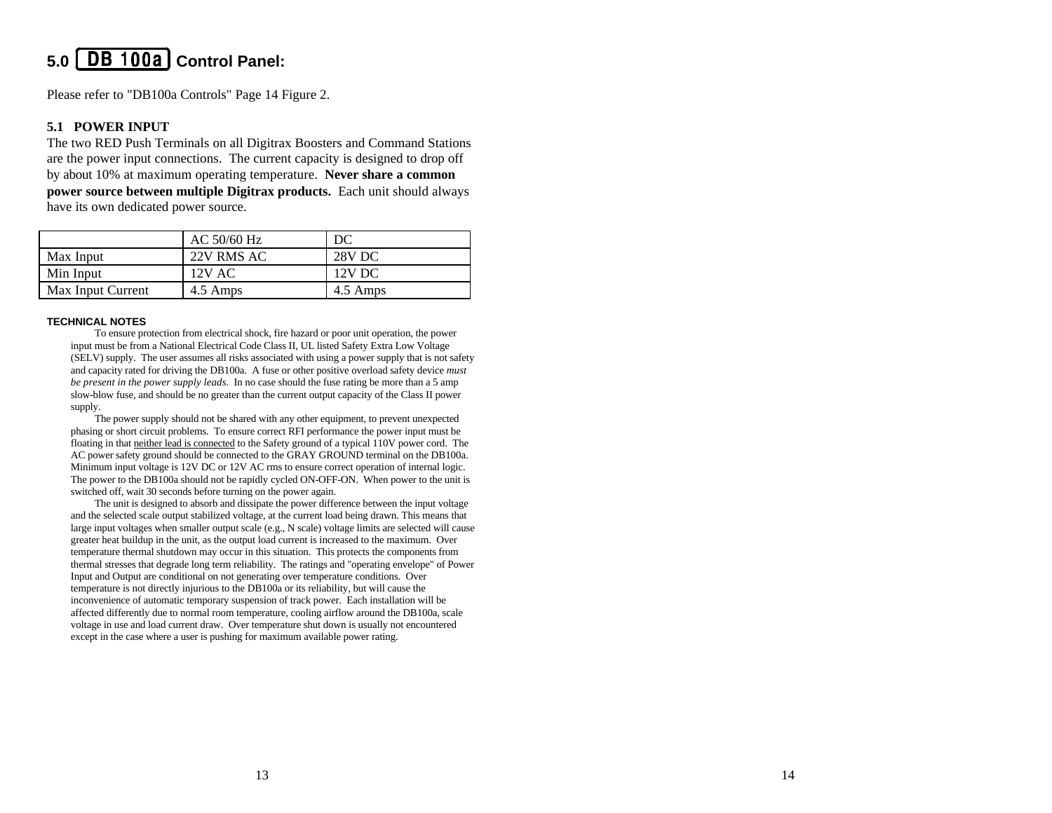# **5.0 Control Panel:**

Please refer to "DB100a Controls" Page 14 Figure 2.

#### **5.1 POWER INPUT**

The two RED Push Terminals on all Digitrax Boosters and Command Stations are the power input connections. The current capacity is designed to drop off by about 10% at maximum operating temperature. **Never share a common power source between multiple Digitrax products.** Each unit should always have its own dedicated power source.

|                   | AC $50/60$ Hz | DC       |
|-------------------|---------------|----------|
| Max Input         | 22V RMS AC    | 28V DC   |
| Min Input         | $12V$ AC      | 12V DC   |
| Max Input Current | 4.5 Amps      | 4.5 Amps |

#### **TECHNICAL NOTES**

To ensure protection from electrical shock, fire hazard or poor unit operation, the power input must be from a National Electrical Code Class II, UL listed Safety Extra Low Voltage (SELV) supply. The user assumes all risks associated with using a power supply that is not safety and capacity rated for driving the DB100a. A fuse or other positive overload safety device *must be present in the power supply leads*. In no case should the fuse rating be more than a 5 amp slow-blow fuse, and should be no greater than the current output capacity of the Class II power supply.

The power supply should not be shared with any other equipment, to prevent unexpected phasing or short circuit problems. To ensure correct RFI performance the power input must be floating in that neither lead is connected to the Safety ground of a typical 110V power cord. The AC power safety ground should be connected to the GRAY GROUND terminal on the DB100a. Minimum input voltage is 12V DC or 12V AC rms to ensure correct operation of internal logic. The power to the DB100a should not be rapidly cycled ON-OFF-ON. When power to the unit is switched off, wait 30 seconds before turning on the power again.

The unit is designed to absorb and dissipate the power difference between the input voltage and the selected scale output stabilized voltage, at the current load being drawn. This means that large input voltages when smaller output scale (e.g., N scale) voltage limits are selected will cause greater heat buildup in the unit, as the output load current is increased to the maximum. Over temperature thermal shutdown may occur in this situation. This protects the components from thermal stresses that degrade long term reliability. The ratings and "operating envelope" of Power Input and Output are conditional on not generating over temperature conditions. Over temperature is not directly injurious to the DB100a or its reliability, but will cause the inconvenience of automatic temporary suspension of track power. Each installation will be affected differently due to normal room temperature, cooling airflow around the DB100a, scale voltage in use and load current draw. Over temperature shut down is usually not encountered except in the case where a user is pushing for maximum available power rating.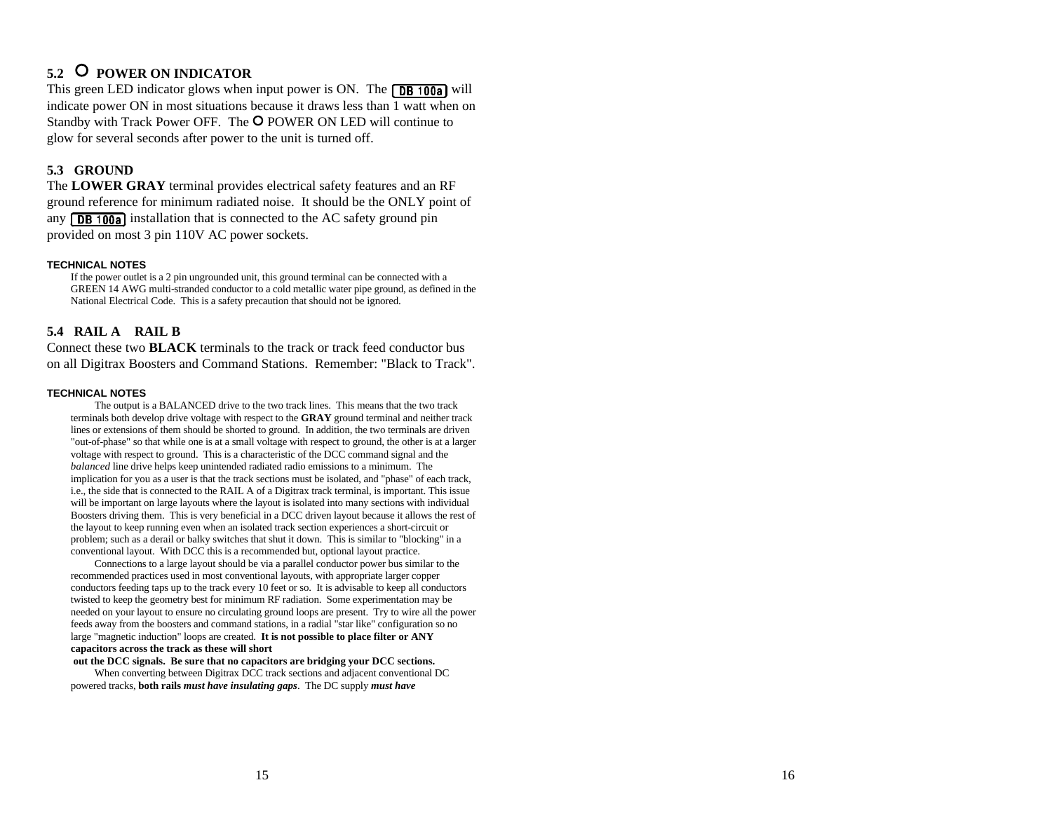# **5.2 POWER ON INDICATOR**

This green LED indicator glows when input power is ON. The  $\sqrt{DB + 100a}$  will indicate power ON in most situations because it draws less than 1 watt when on Standby with Track Power OFF. The O POWER ON LED will continue to glow for several seconds after power to the unit is turned off.

#### **5.3 GROUND**

The **LOWER GRAY** terminal provides electrical safety features and an RF ground reference for minimum radiated noise. It should be the ONLY point of any  $\sqrt{DB + 100a}$  installation that is connected to the AC safety ground pin provided on most 3 pin 110V AC power sockets.

#### **TECHNICAL NOTES**

If the power outlet is a 2 pin ungrounded unit, this ground terminal can be connected with a GREEN 14 AWG multi -stranded conductor to a cold metallic water pipe ground, as defined in the National Electrical Code. This is a safety precaution that should not be ignored.

#### **5.4 RAIL A RAIL B**

Connect these two **BLACK** terminals to the track or track feed conductor bus on all Digitrax Boosters and Command Stations. Remember: "Black to Track".

#### **TECHNICAL NOTES**

The output is a BALANCED drive to the two track lines. This means that the two track terminals both develop drive voltage with respect to the **GRAY** ground terminal and neither track lines or extensions of them should be shorted to ground. In addition, the two terminals are driven "out -of-phase" so that while one is at a small voltage with respect to ground, the other is at a larger voltage with respect to ground. This is a characteristic of the DCC command signal and the *balanced* line drive helps keep unintended radiated radio emissions to a minimum. The implication for you as a user is that the track sections must be isolated, and "phase" of each track, i.e., the side that is connected to the RAIL A of a Digitrax track terminal, is important. This issue will be important on large layouts where the layout is isolated into many sections with individual Boosters driving them. This is very beneficial in a DCC driven layout because it allows the rest of the layout to keep running even when an isolated track section experiences a short -circuit or problem; such as a derail or balky switches that shut it down. This is similar to "blocking" in a conventional layout. With DCC this is a recommended but, optional layout practice.

Connections to a large layout should be via a parallel conductor power bus similar to the recommended practices used in most conventional layouts, with appropriate larger copper conductors feeding taps up to the track every 10 feet or so. It is advisable to keep all conductors twisted to keep the geometry best for minimum RF radiation. Some experimentation may be needed on your layout to ensure no circulating ground loops are present. Try to wire all the power feeds away from the boosters and command stations, in a radial "star like" configuration so no large "magnetic induction" loops are created. **It is not possible to place filter or ANY capacitors across the track as these will short**

 **out the DCC signals. Be sure that no capacitors are bridging your DCC sections.** When converting between Digitrax DCC track sections and adjacent conventional DC powered tracks, **both rails** *must have insulating gaps*. The DC supply *must have*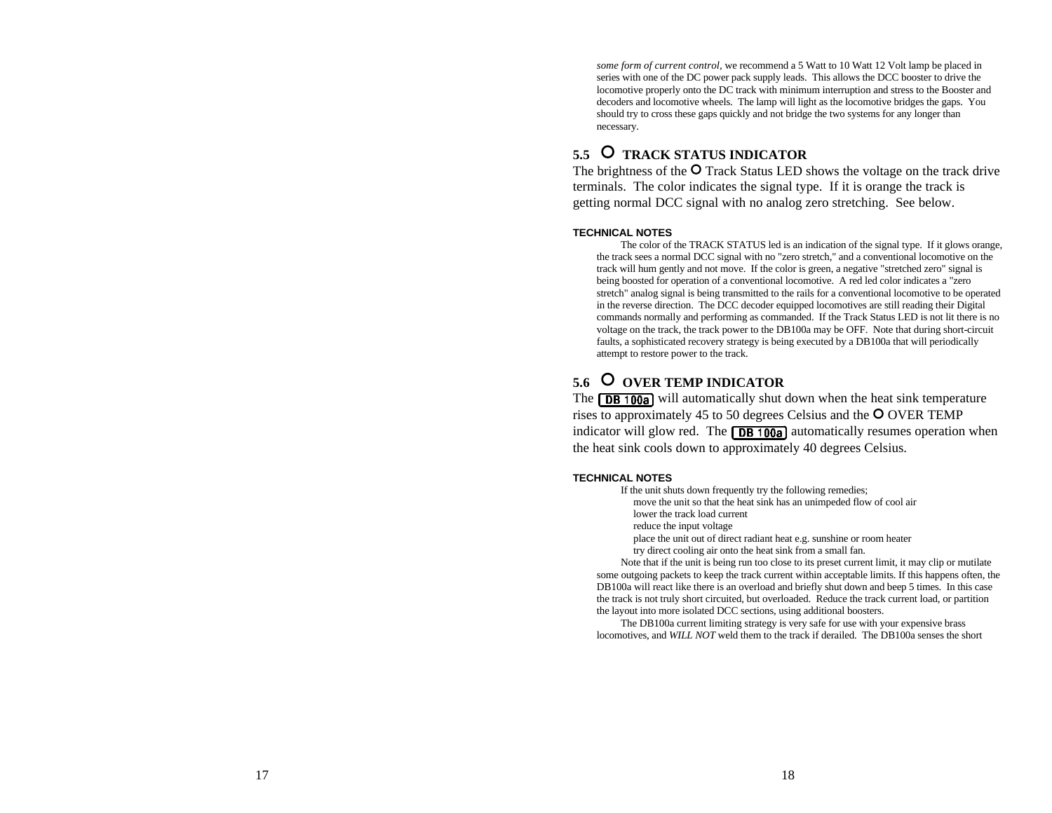*some form of current control,* we recommend a 5 Watt to 10 Watt 12 Volt lamp be placed in series with one of the DC power pack supply leads. This allows the DCC booster to drive the locomotive properly onto the DC track with minimum interruption and stress to the Booster and decoders and locomotive wheels. The lamp will light as the locomotive bridges the gaps. You should try to cross these gaps quickly and not bridge the two systems for any longer than necessary.

## 5.5 O TRACK STATUS INDICATOR

The brightness of the  $O$  Track Status LED shows the voltage on the track drive terminals. The color indicates the signal type. If it is orange the track is getting normal DCC signal with no analog zero stretching. See below.

#### **TECHNICAL NOTES**

The color of the TRACK STATUS led is an indication of the signal type. If it glows orange, the track sees a normal DCC signal with no "zero stretch," and a conventional locomotive on the track will hum gently and not move. If the color is green, a negative "stretched zero" signal is being boosted for operation of a conventional locomotive. A red led color indicates a "zero stretch" analog signal is being transmitted to the rails for a conventional locomotive to be operated in the reverse direction. The DCC decoder equipped locomotives are still reading their Digital commands normally and performing as commanded. If the Track Status LED is not lit there is no voltage on the track, the track power to the DB100a may be OFF. Note that during short-circuit faults, a sophisticated recovery strategy is being executed by a DB100a that will periodically attempt to restore power to the track.

### 5.6 O OVER TEMP INDICATOR

The  $\sqrt{DB + 100a}$  will automatically shut down when the heat sink temperature rises to approximately 45 to 50 degrees Celsius and the  $\overline{O}$  OVER TEMP indicator will glow red. The  $\sqrt{DB + 100a}$  automatically resumes operation when the heat sink cools down to approximately 40 degrees Celsius.

#### **TECHNICAL NOTES**

If the unit shuts down frequently try the following remedies;

move the unit so that the heat sink has an unimpeded flow of cool air

lower the track load current

reduce the input voltage

place the unit out of direct radiant heat e.g. sunshine or room heater

try direct cooling air onto the heat sink from a small fan.

Note that if the unit is being run too close to its preset current limit, it may clip or mutilate some outgoing packets to keep the track current within acceptable limits. If this happens often, the DB100a will react like there is an overload and briefly shut down and beep 5 times. In this case the track is not truly short circuited, but overloaded. Reduce the track current load, or partition the layout into more isolated DCC sections, using additional boosters.

The DB100a current limiting strategy is very safe for use with your expensive brass locomotives, and *WILL NOT* weld them to the track if derailed. The DB100a senses the short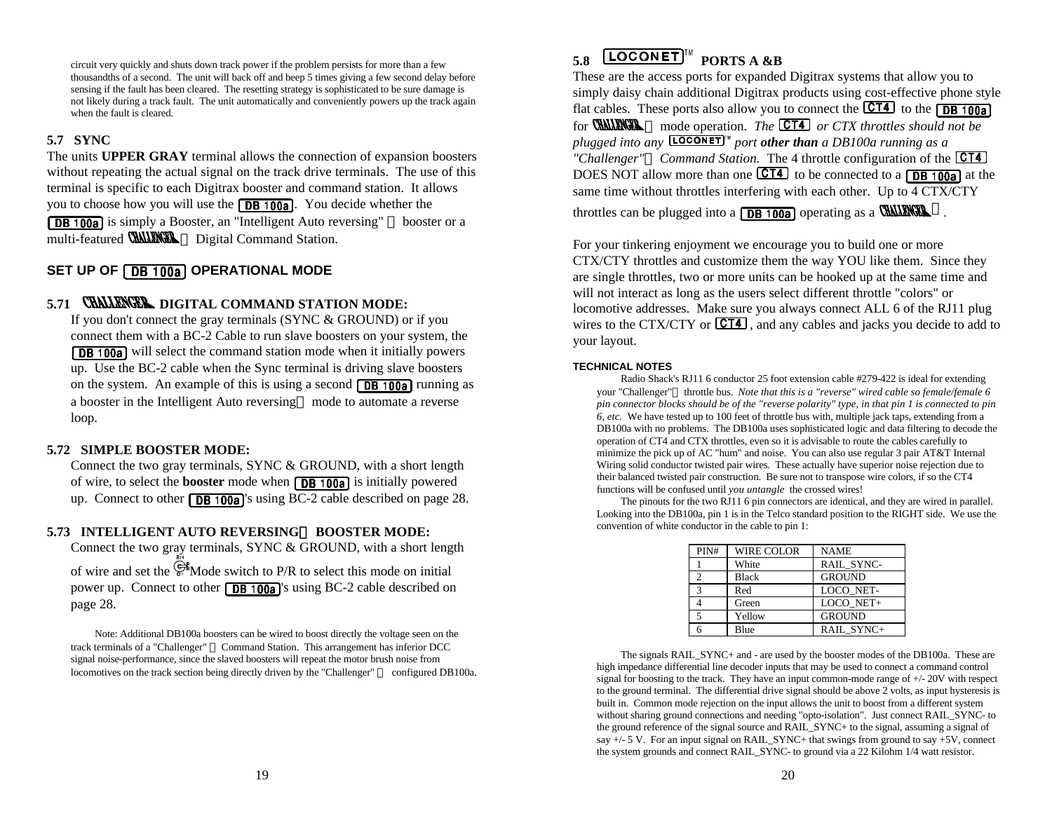circuit very quickly and shuts down track power if the problem persists for more than a few thousandths of a second. The unit will back off and beep 5 times giving a few second delay before sensing if the fault has been cleared. The resetting strategy is sophisticated to be sure damage is not likely during a track fault. The unit automatically and conveniently powers up the track again when the fault is cleared.

#### **5.7 SYNC**

The units **UPPER GRAY** terminal allows the connection of expansion boosters without repeating the actual signal on the track drive terminals. The use of this terminal is specific to each Digitrax booster and command station. It allows you to choose how you will use the  $\sqrt{\text{DB} + 100a}$ . You decide whether the **DB 100a** is simply a Booster, an "Intelligent Auto reversing" <sup>TM</sup> booster or a multi-featured **CHALENCEL**<sup>TM</sup> Digital Command Station.

### **SET UP OF [DB 100a] OPERATIONAL MODE**

## 5.71 **CHALLENGER** DIGITAL COMMAND STATION MODE:

If you don't connect the gray terminals (SYNC & GROUND) or if you connect them with a BC-2 Cable to run slave boosters on your system, the **DB 100a** will select the command station mode when it initially powers up. Use the BC-2 cable when the Sync terminal is driving slave boosters on the system. An example of this is using a second  $\sqrt{DB + 100a}$  running as a booster in the Intelligent Auto reversing<sup>TM</sup> mode to automate a reverse loop.

#### **5.72 SIMPLE BOOSTER MODE:**

Connect the two gray terminals, SYNC & GROUND, with a short length of wire, to select the **booster** mode when **DB 100a** is initially powered up. Connect to other  $\sqrt{DB + 100a}$  's using BC-2 cable described on page 28.

#### 5.73 INTELLIGENT AUTO REVERSING<sup>TM</sup> BOOSTER MODE:

Connect the two gray terminals, SYNC & GROUND, with a short length of wire and set the  $\overline{\mathcal{C}}$  Mode switch to P/R to select this mode on initial

power up. Connect to other  $\sqrt{DB \cdot 100a}$ 's using BC-2 cable described on page 28.

Note: Additional DB100a boosters can be wired to boost directly the voltage seen on the track terminals of a "Challenger" ™ Command Station. This arrangement has inferior DCC signal noise-performance, since the slaved boosters will repeat the motor brush noise from locomotives on the track section being directly driven by the "Challenger" <sup>TM</sup> configured DB100a.

# $5.8$  **LOCONET**<sup>IM</sup> PORTS A &B

These are the access ports for expanded Digitrax systems that allow you to simply daisy chain additional Digitrax products using cost-effective phone style flat cables. These ports also allow you to connect the  $\overline{CT4}$  to the  $\overline{DB}$  100a for **CHALENCER** TM mode operation. *The* **CT4** or CTX throttles should not be *plugged into any* **[LOCONET**]<sup>*"*</sup> *port other than* a DB100a running as a *"Challenger"Ô Command Station.* The 4 throttle configuration of the DOES NOT allow more than one  $\overline{CT4}$  to be connected to a  $\overline{DB}$  100a at the same time without throttles interfering with each other. Up to  $4 \overline{CTX/CTY}$ throttles can be plugged into a  $\sqrt{DB + 100a}$  operating as a **CHALENGEL** TM.

For your tinkering enjoyment we encourage you to build one or more CTX/CTY throttles and customize them the way YOU like them. Since they are single throttles, two or more units can be hooked up at the same time and will not interact as long as the users select different throttle "colors" or locomotive addresses. Make sure you always connect ALL 6 of the RJ11 plug wires to the CTX/CTY or  $\overline{CT4}$ , and any cables and jacks you decide to add to your layout.

#### **TECHNICAL NOTES**

Radio Shack's RJ11 6 conductor 25 foot extension cable #279-422 is ideal for extending your "Challenger" throttle bus. *Note that this is a "reverse" wired cable so female/female 6 pin connector blocks should be of the "reverse polarity" type, in that pin 1 is connected to pin 6, etc.* We have tested up to 100 feet of throttle bus with, multiple jack taps, extending from a DB100a with no problems. The DB100a uses sophisticated logic and data filtering to decode the operation of CT4 and CTX throttles, even so it is advisable to route the cables carefully to minimize the pick up of AC "hum" and noise. You can also use regular 3 pair AT&T Internal Wiring solid conductor twisted pair wires. These actually have superior noise rejection due to their balanced twisted pair construction. Be sure not to transpose wire colors, if so the CT4 functions will be confused until *you untangle* the crossed wires!

The pinouts for the two RJ11 6 pin connectors are identical, and they are wired in parallel. Looking into the DB100a, pin 1 is in the Telco standard position to the RIGHT side. We use the convention of white conductor in the cable to pin 1:

| PIN#           | WIRE COLOR | <b>NAME</b>   |
|----------------|------------|---------------|
|                | White      | RAIL_SYNC-    |
| 2              | Black      | <b>GROUND</b> |
| 3              | Red        | LOCO NET-     |
|                | Green      | LOCO NET+     |
| $\overline{5}$ | Yellow     | <b>GROUND</b> |
|                | Blue       | RAIL SYNC+    |

The signals RAIL\_SYNC+ and - are used by the booster modes of the DB100a. These are high impedance differential line decoder inputs that may be used to connect a command control signal for boosting to the track. They have an input common-mode range of +/- 20V with respect to the ground terminal. The differential drive signal should be above 2 volts, as input hysteresis is built in. Common mode rejection on the input allows the unit to boost from a different system without sharing ground connections and needing "opto-isolation". Just connect RAIL\_SYNC- to the ground reference of the signal source and RAIL\_SYNC+ to the signal, assuming a signal of say  $+/- 5$  V. For an input signal on RAIL\_SYNC+ that swings from ground to say  $+5V$ , connect the system grounds and connect RAIL\_SYNC- to ground via a 22 Kilohm 1/4 watt resistor.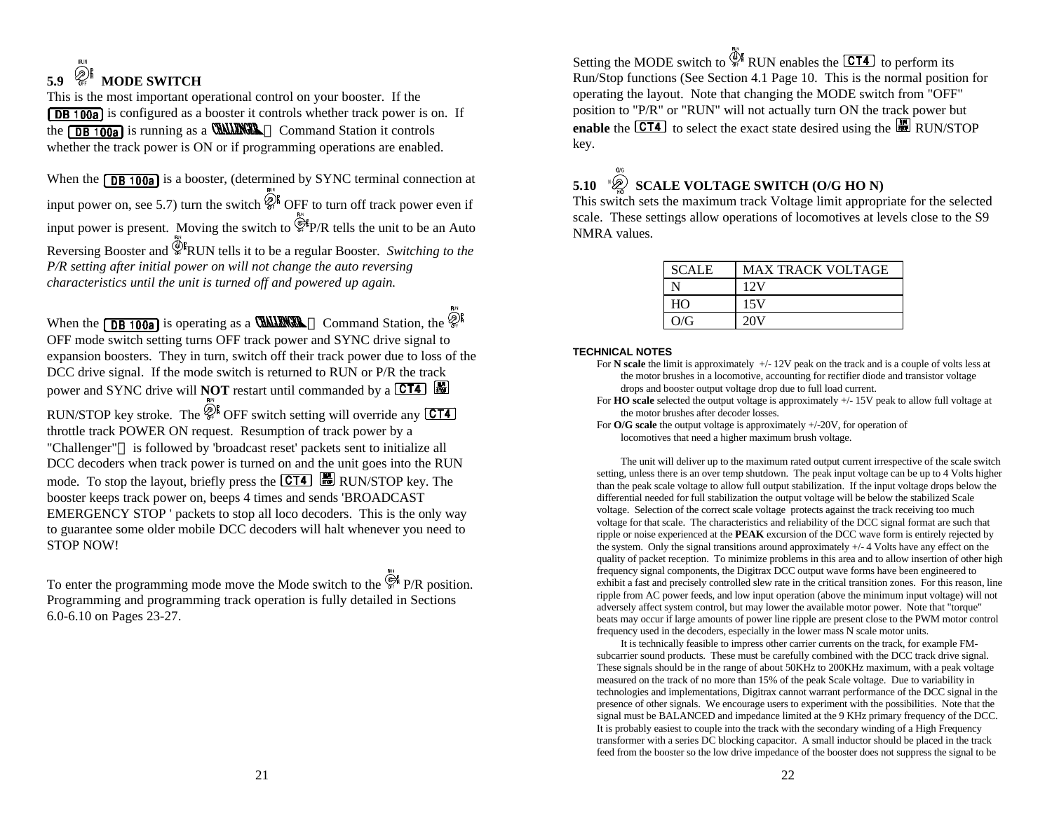# 5.9  $\bigotimes_{\mathfrak{S} \models} \mathbb{N}$  MODE SWITCH

This is the most important operational control on your booster. If the **DB 100a** is configured as a booster it controls whether track power is on. If the  $\sqrt{\text{DB} + \text{O}}$  is running as a **CHALERGEL** TM Command Station it controls whether the track power is ON or if programming operations are enabled.

When the  $\sqrt{\text{DB} + \text{OQa}}$  is a booster, (determined by SYNC terminal connection at input power on, see 5.7) turn the switch  $\widehat{\mathbb{Q}}_i^{\parallel}$  OFF to turn off track power even if input power is present. Moving the switch to  $\mathbb{Q}^*$ P/R tells the unit to be an Auto Reversing Booster and <sup>The</sup> RUN tells it to be a regular Booster. *Switching to the P/R setting after initial power on will not change the auto reversing characteristics until the unit is turned off and powered up again.* 

When the **DB 100a** is operating as a **CHALENCER** TM Command Station, the  $\mathcal{Q}^{\parallel}$ OFF mode switch setting turns OFF track power and SYNC drive signal to expansion boosters. They in turn, switch off their track power due to loss of the DCC drive signal. If the mode switch is returned to RUN or P/R the track power and SYNC drive will **NOT** restart until commanded by a **CT4**  $\begin{bmatrix} \frac{100}{100} \end{bmatrix}$ 

RUN/STOP key stroke. The  $\mathcal{Q}_n^{\{k\}}$  OFF switch setting will override any **CT4** throttle track POWER ON request. Resumption of track power by a "Challenger"<sup>TM</sup> is followed by 'broadcast reset' packets sent to initialize all DCC decoders when track power is turned on and the unit goes into the RUN mode. To stop the layout, briefly press the  $\overline{\text{CT4}}$   $\overline{\text{H}}$  RUN/STOP key. The booster keeps track power on, beeps 4 times and sends 'BROADCAST EMERGENCY STOP ' packets to stop all loco decoders. This is the only way to guarantee some older mobile DCC decoders will halt whenever you need to STOP NOW!

To enter the programming mode move the Mode switch to the  $\mathbb{G}$  P/R position. Programming and programming track operation is fully detailed in Sections 6.0-6.10 on Pages 23-27.

Setting the MODE switch to  $\frac{\mathbb{Q}[k]}{N}$  RUN enables the **CT4** to perform its Run/Stop functions (See Section 4.1 Page 10. This is the normal position for operating the layout. Note that changing the MODE switch from "OFF" position to "P/R" or "RUN" will not actually turn ON the track power but **enable** the  $\overline{CT4}$  to select the exact state desired using the  $\overline{BD}$  RUN/STOP key.

#### **5.10 SCALE VOLTAGE SWITCH (O/G HO N)**

This switch sets the maximum track Voltage limit appropriate for the selected scale. These settings allow operations of locomotives at levels close to the S9 NMRA values.

| <b>SCALE</b> | <b>MAX TRACK VOLTAGE</b> |
|--------------|--------------------------|
|              | 12V                      |
| HO           | 15V                      |
| O/G          | 20 V                     |

#### **TECHNICAL NOTES**

- For **N** scale the limit is approximately  $+/-12V$  peak on the track and is a couple of volts less at the motor brushes in a locomotive, accounting for rectifier diode and transistor voltage drops and booster output voltage drop due to full load current.
- For **HO scale** selected the output voltage is approximately +/- 15V peak to allow full voltage at the motor brushes after decoder losses.
- For **O/G scale** the output voltage is approximately +/-20V, for operation of locomotives that need a higher maximum brush voltage.

The unit will deliver up to the maximum rated output current irrespective of the scale switch setting, unless there is an over temp shutdown. The peak input voltage can be up to 4 Volts higher than the peak scale voltage to allow full output stabilization. If the input voltage drops below the differential needed for full stabilization the output voltage will be below the stabilized Scale voltage. Selection of the correct scale voltage protects against the track receiving too much voltage for that scale. The characteristics and reliability of the DCC signal format are such that ripple or noise experienced at the **PEAK** excursion of the DCC wave form is entirely rejected by the system. Only the signal transitions around approximately +/- 4 Volts have any effect on the quality of packet reception. To minimize problems in this area and to allow insertion of other high frequency signal components, the Digitrax DCC output wave forms have been engineered to exhibit a fast and precisely controlled slew rate in the critical transition zones. For this reason, line ripple from AC power feeds, and low input operation (above the minimum input voltage) will not adversely affect system control, but may lower the available motor power. Note that "torque" beats may occur if large amounts of power line ripple are present close to the PWM motor control frequency used in the decoders, especially in the lower mass N scale motor units.

It is technically feasible to impress other carrier currents on the track, for example FMsubcarrier sound products. These must be carefully combined with the DCC track drive signal. These signals should be in the range of about 50KHz to 200KHz maximum, with a peak voltage measured on the track of no more than 15% of the peak Scale voltage. Due to variability in technologies and implementations, Digitrax cannot warrant performance of the DCC signal in the presence of other signals. We encourage users to experiment with the possibilities. Note that the signal must be BALANCED and impedance limited at the 9 KHz primary frequency of the DCC. It is probably easiest to couple into the track with the secondary winding of a High Frequency transformer with a series DC blocking capacitor. A small inductor should be placed in the track feed from the booster so the low drive impedance of the booster does not suppress the signal to be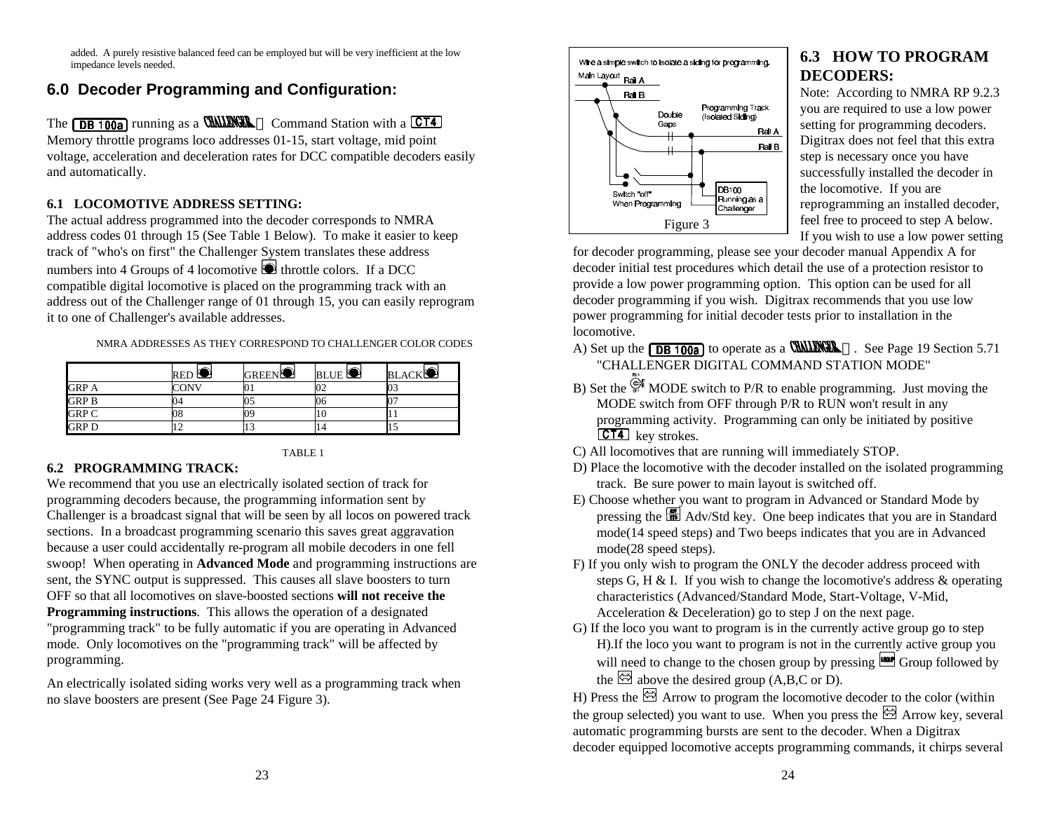added. A purely resistive balanced feed can be employed but will be very inefficient at the low impedance levels needed.

# **6.0 Decoder Programming and Configuration:**

The  $\sqrt{\text{DB } 100a}$  running as a **CHALENGE** TM Command Station with a  $\boxed{\text{CT4}}$ Memory throttle programs loco addresses 01-15, start voltage, mid point voltage, acceleration and deceleration rates for DCC compatible decoders easily and automatically.

### **6.1 LOCOMOTIVE ADDRESS SETTING:**

The actual address programmed into the decoder corresponds to NMRA address codes 01 through 15 (See Table 1 Below). To make it easier to keep track of "who's on first" the Challenger System translates these address numbers into 4 Groups of 4 locomotive  $\blacksquare$  throttle colors. If a DCC compatible digital locomotive is placed on the programming track with an address out of the Challenger range of 01 through 15, you can easily reprogram it to one of Challenger's available addresses.

NMRA ADDRESSES AS THEY CORRESPOND TO CHALLENGER COLOR CODES

|              | RED <sup>O</sup> | <b>GREEN</b> | BLUE 5 | BLACKL |
|--------------|------------------|--------------|--------|--------|
| <b>GRP A</b> | 'ONV             |              | UΖ     | 03     |
| <b>GRP B</b> |                  | UJ           | 06     |        |
| <b>GRP C</b> |                  | рy           | ΠU     |        |
| <b>GRPD</b>  |                  | . .          | 14     | 1.J    |

#### TABLE 1

#### **6.2 PROGRAMMING TRACK:**

We recommend that you use an electrically isolated section of track for programming decoders because, the programming information sent by Challenger is a broadcast signal that will be seen by all locos on powered track sections. In a broadcast programming scenario this saves great aggravation because a user could accidentally re-program all mobile decoders in one fell swoop! When operating in **Advanced Mode** and programming instructions are sent, the SYNC output is suppressed. This causes all slave boosters to turn OFF so that all locomotives on slave-boosted sections **will not receive the Programming instructions**. This allows the operation of a designated "programming track" to be fully automatic if you are operating in Advanced mode. Only locomotives on the "programming track" will be affected by programming.

An electrically isolated siding works very well as a programming track when no slave boosters are present (See Page 24 Figure 3).



# **6.3 HOW TO PROGRAM DECODERS:**

Note: According to NMRA RP 9.2.3 you are required to use a low power setting for programming decoders. Digitrax does not feel that this extra step is necessary once you have successfully installed the decoder in the locomotive. If you are reprogramming an installed decoder, feel free to proceed to step A below. If you wish to use a low power setting

for decoder programming, please see your decoder manual Appendix A for decoder initial test procedures which detail the use of a protection resistor to provide a low power programming option. This option can be used for all decoder programming if you wish. Digitrax recommends that you use low power programming for initial decoder tests prior to installation in the locomotive.

- A) Set up the  $\sqrt{\text{DB } 100a}$  to operate as a **CHILENGE** TM. See Page 19 Section 5.71 "CHALLENGER DIGITAL COMMAND STATION MODE"
- B) Set the  $\mathbb{R}^k$  MODE switch to P/R to enable programming. Just moving the MODE switch from OFF through P/R to RUN won't result in any programming activity. Programming can only be initiated by positive CT4 key strokes.
- C) All locomotives that are running will immediately STOP.
- D) Place the locomotive with the decoder installed on the isolated programming track. Be sure power to main layout is switched off.
- E) Choose whether you want to program in Advanced or Standard Mode by pressing the  $\Box$  Adv/Std key. One beep indicates that you are in Standard mode(14 speed steps) and Two beeps indicates that you are in Advanced mode(28 speed steps).
- F) If you only wish to program the ONLY the decoder address proceed with steps G, H & I. If you wish to change the locomotive's address & operating characteristics (Advanced/Standard Mode, Start-Voltage, V-Mid, Acceleration & Deceleration) go to step J on the next page.
- G) If the loco you want to program is in the currently active group go to step H).If the loco you want to program is not in the currently active group you will need to change to the chosen group by pressing Group followed by the  $\boxtimes$  above the desired group (A,B,C or D).

H) Press the  $\boxtimes$  Arrow to program the locomotive decoder to the color (within the group selected) you want to use. When you press the  $\boxtimes$  Arrow key, several automatic programming bursts are sent to the decoder. When a Digitrax decoder equipped locomotive accepts programming commands, it chirps several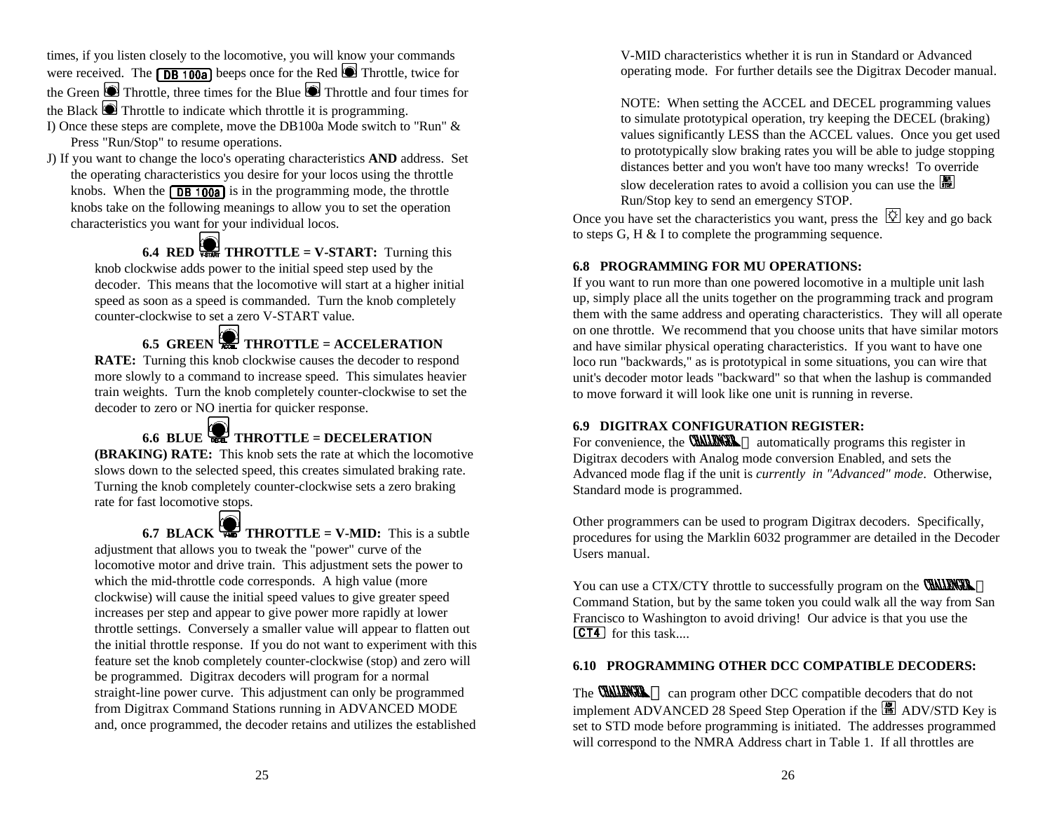times, if you listen closely to the locomotive, you will know your commands were received. The  $\sqrt{DB + 100a}$  beeps once for the Red  $\bigcirc$  Throttle, twice for the Green Throttle, three times for the Blue Throttle and four times for the Black  $\bigcirc$  Throttle to indicate which throttle it is programming.

- I) Once these steps are complete, move the DB100a Mode switch to "Run" & Press "Run/Stop" to resume operations.
- J) If you want to change the loco's operating characteristics **AND** address. Set the operating characteristics you desire for your locos using the throttle knobs. When the  $\sqrt{DB + 100a}$  is in the programming mode, the throttle knobs take on the following meanings to allow you to set the operation characteristics you want for your individual locos.

**6.4 RED VIORET THROTTLE = V-START:** Turning this knob clockwise adds power to the initial speed step used by the decoder. This means that the locomotive will start at a higher initial speed as soon as a speed is commanded. Turn the knob completely counter-clockwise to set a zero V-START value.

**6.5 GREEN THROTTLE = ACCELERATION RATE:** Turning this knob clockwise causes the decoder to respond more slowly to a command to increase speed. This simulates heavier train weights. Turn the knob completely counter-clockwise to set the decoder to zero or NO inertia for quicker response.

**6.6 BLUE THROTTLE = DECELERATION (BRAKING) RATE:** This knob sets the rate at which the locomotive slows down to the selected speed, this creates simulated braking rate. Turning the knob completely counter-clockwise sets a zero braking rate for fast locomotive stops.

**6.7 BLACK**  $\frac{1}{1000}$  **THROTTLE = V-MID:** This is a subtle adjustment that allows you to tweak the "power" curve of the locomotive motor and drive train. This adjustment sets the power to which the mid-throttle code corresponds. A high value (more clockwise) will cause the initial speed values to give greater speed increases per step and appear to give power more rapidly at lower throttle settings. Conversely a smaller value will appear to flatten out the initial throttle response. If you do not want to experiment with this feature set the knob completely counter-clockwise (stop) and zero will be programmed. Digitrax decoders will program for a normal straight-line power curve. This adjustment can only be programmed from Digitrax Command Stations running in ADVANCED MODE and, once programmed, the decoder retains and utilizes the established

V-MID characteristics whether it is run in Standard or Advanced operating mode. For further details see the Digitrax Decoder manual.

NOTE: When setting the ACCEL and DECEL programming values to simulate prototypical operation, try keeping the DECEL (braking) values significantly LESS than the ACCEL values. Once you get used to prototypically slow braking rates you will be able to judge stopping distances better and you won't have too many wrecks! To override slow deceleration rates to avoid a collision you can use the  $\frac{100}{100}$ Run/Stop key to send an emergency STOP.

Once you have set the characteristics you want, press the  $\mathbb{Q}$  key and go back to steps G, H & I to complete the programming sequence.

## **6.8 PROGRAMMING FOR MU OPERATIONS:**

If you want to run more than one powered locomotive in a multiple unit lash up, simply place all the units together on the programming track and program them with the same address and operating characteristics. They will all operate on one throttle. We recommend that you choose units that have similar motors and have similar physical operating characteristics. If you want to have one loco run "backwards," as is prototypical in some situations, you can wire that unit's decoder motor leads "backward" so that when the lashup is commanded to move forward it will look like one unit is running in reverse.

## **6.9 DIGITRAX CONFIGURATION REGISTER:**

For convenience, the **CHALENGE** TM automatically programs this register in Digitrax decoders with Analog mode conversion Enabled, and sets the Advanced mode flag if the unit is *currently in "Advanced" mode*. Otherwise, Standard mode is programmed.

Other programmers can be used to program Digitrax decoders. Specifically, procedures for using the Marklin 6032 programmer are detailed in the Decoder Users manual.

You can use a CTX/CTY throttle to successfully program on the **CHALENGER** TM Command Station, but by the same token you could walk all the way from San Francisco to Washington to avoid driving! Our advice is that you use the  $[CT4]$  for this task....

## **6.10 PROGRAMMING OTHER DCC COMPATIBLE DECODERS:**

The **CHALENGER** TM can program other DCC compatible decoders that do not implement ADVANCED 28 Speed Step Operation if the  $\boxed{\blacksquare}$  ADV/STD Key is set to STD mode before programming is initiated. The addresses programmed will correspond to the NMRA Address chart in Table 1. If all throttles are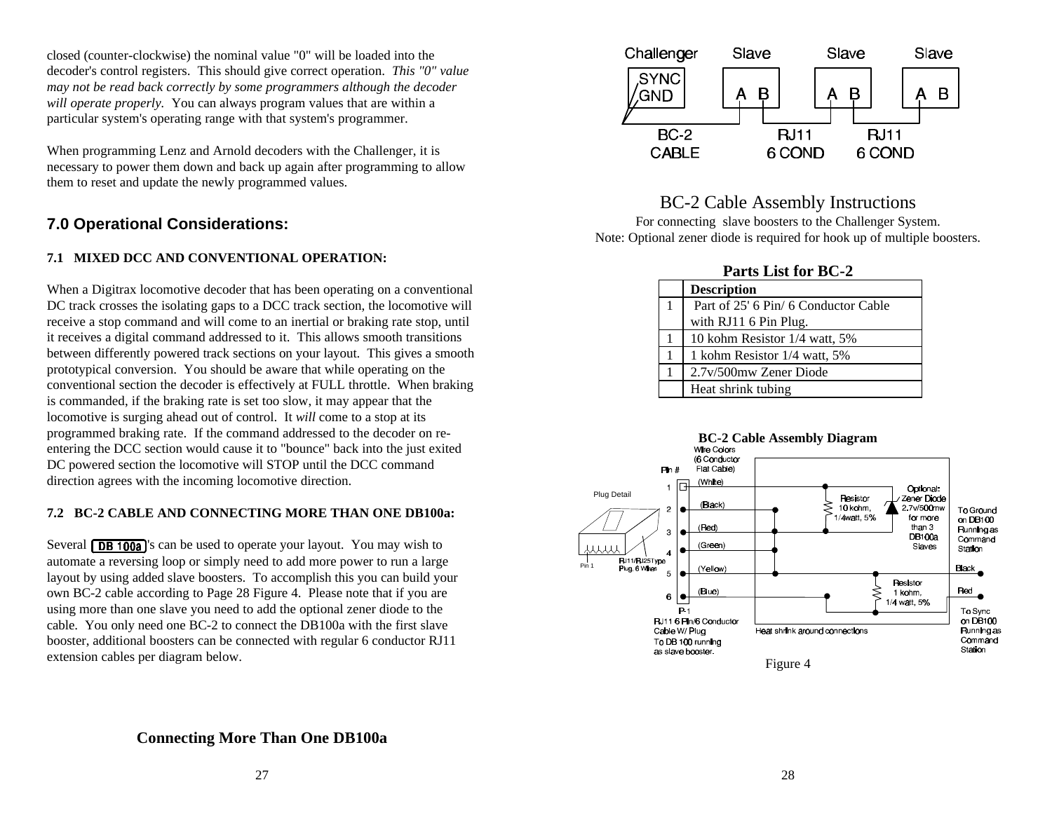closed (counter-clockwise) the nominal value "0" will be loaded into the decoder's control registers. This should give correct operation. *This "0" value may not be read back correctly by some programmers although the decoder will operate properly.* You can always program values that are within a particular system's operating range with that system's programmer.

When programming Lenz and Arnold decoders with the Challenger, it is necessary to power them down and back up again after programming to allow them to reset and update the newly programmed values.

# **7.0 Operational Considerations:**

### **7.1 MIXED DCC AND CONVENTIONAL OPERATION:**

When a Digitrax locomotive decoder that has been operating on a conventional DC track crosses the isolating gaps to a DCC track section, the locomotive will receive a stop command and will come to an inertial or braking rate stop, until it receives a digital command addressed to it. This allows smooth transitions between differently powered track sections on your layout. This gives a smooth prototypical conversion. You should be aware that while operating on the conventional section the decoder is effectively at FULL throttle. When braking is commanded, if the braking rate is set too slow, it may appear that the locomotive is surging ahead out of control. It *will* come to a stop at its programmed braking rate. If the command addressed to the decoder on reentering the DCC section would cause it to "bounce" back into the just exited DC powered section the locomotive will STOP until the DCC command direction agrees with the incoming locomotive direction.

### **7.2 BC-2 CABLE AND CONNECTING MORE THAN ONE DB100a:**

Several  $\sqrt{\text{DB} + \text{OQ}}$  s can be used to operate your layout. You may wish to automate a reversing loop or simply need to add more power to run a large layout by using added slave boosters. To accomplish this you can build your own BC-2 cable according to Page 28 Figure 4. Please note that if you are using more than one slave you need to add the optional zener diode to the cable. You only need one BC-2 to connect the DB100a with the first slave booster, additional boosters can be connected with regular 6 conductor RJ11 extension cables per diagram below.



# BC-2 Cable Assembly Instructions

For connecting slave boosters to the Challenger System. Note: Optional zener diode is required for hook up of multiple boosters.

### **Parts List for BC-2**

| <b>Description</b>                   |
|--------------------------------------|
| Part of 25' 6 Pin/ 6 Conductor Cable |
| with RJ11 6 Pin Plug.                |
| 10 kohm Resistor 1/4 watt, 5%        |
| 1 kohm Resistor 1/4 watt, 5%         |
| 2.7v/500mw Zener Diode               |
| Heat shrink tubing                   |
|                                      |



## **Connecting More Than One DB100a**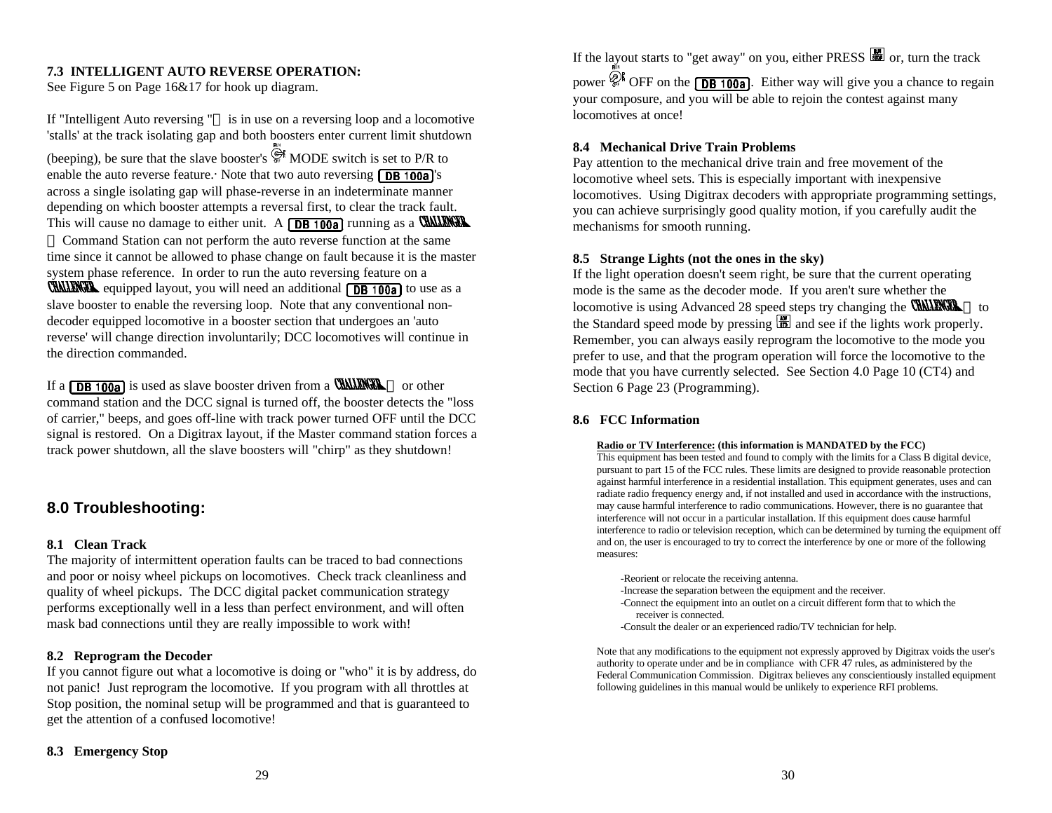#### **7.3 INTELLIGENT AUTO REVERSE OPERATION:**

See Figure 5 on Page 16&17 for hook up diagram.

If "Intelligent Auto reversing " $I^M$  is in use on a reversing loop and a locomotive 'stalls' at the track isolating gap and both boosters enter current limit shutdown (beeping), be sure that the slave booster's  $\overline{\mathbb{R}}^n$  MODE switch is set to P/R to enable the auto reverse feature. Note that two auto reversing  $\sqrt{\text{DB } 100a}$ 's across a single isolating gap will phase-reverse in an indeterminate manner depending on which booster attempts a reversal first, to clear the track fault. This will cause no damage to either unit. A  $\sqrt{DB + 100a}$  running as a WALLENGE TM Command Station can not perform the auto reverse function at the same time since it cannot be allowed to phase change on fault because it is the master system phase reference. In order to run the auto reversing feature on a **CHALLENGEL** equipped layout, you will need an additional  $\sqrt{DB + 100a}$  to use as a slave booster to enable the reversing loop. Note that any conventional nondecoder equipped locomotive in a booster section that undergoes an 'auto reverse' will change direction involuntarily; DCC locomotives will continue in the direction commanded.

If a **DB 100a** is used as slave booster driven from a **CHALENGE** TM or other command station and the DCC signal is turned off, the booster detects the "loss of carrier," beeps, and goes off-line with track power turned OFF until the DCC signal is restored. On a Digitrax layout, if the Master command station forces a track power shutdown, all the slave boosters will "chirp" as they shutdown!

## **8.0 Troubleshooting:**

#### **8.1 Clean Track**

The majority of intermittent operation faults can be traced to bad connections and poor or noisy wheel pickups on locomotives. Check track cleanliness and quality of wheel pickups. The DCC digital packet communication strategy performs exceptionally well in a less than perfect environment, and will often mask bad connections until they are really impossible to work with!

#### **8.2 Reprogram the Decoder**

If you cannot figure out what a locomotive is doing or "who" it is by address, do not panic! Just reprogram the locomotive. If you program with all throttles at Stop position, the nominal setup will be programmed and that is guaranteed to get the attention of a confused locomotive!

#### **8.3 Emergency Stop**

If the layout starts to "get away" on you, either PRESS  $\Box$  or, turn the track power  $\mathcal{D}^k$  OFF on the **DB 100a**. Either way will give you a chance to regain your composure, and you will be able to rejoin the contest against many locomotives at once!

#### **8.4 Mechanical Drive Train Problems**

Pay attention to the mechanical drive train and free movement of the locomotive wheel sets. This is especially important with inexpensive locomotives. Using Digitrax decoders with appropriate programming settings, you can achieve surprisingly good quality motion, if you carefully audit the mechanisms for smooth running.

#### **8.5 Strange Lights (not the ones in the sky)**

If the light operation doesn't seem right, be sure that the current operating mode is the same as the decoder mode. If you aren't sure whether the locomotive is using Advanced 28 speed steps try changing the **CHALLINGE** TM to the Standard speed mode by pressing  $\Box$  and see if the lights work properly. Remember, you can always easily reprogram the locomotive to the mode you prefer to use, and that the program operation will force the locomotive to the mode that you have currently selected. See Section 4.0 Page 10 (CT4) and Section 6 Page 23 (Programming).

#### **8.6 FCC Information**

#### **Radio or TV Interference: (this information is MANDATED by the FCC)**

This equipment has been tested and found to comply with the limits for a Class B digital device, pursuant to part 15 of the FCC rules. These limits are designed to provide reasonable protection against harmful interference in a residential installation. This equipment generates, uses and can radiate radio frequency energy and, if not installed and used in accordance with the instructions, may cause harmful interference to radio communications. However, there is no guarantee that interference will not occur in a particular installation. If this equipment does cause harmful interference to radio or television reception, which can be determined by turning the equipment off and on, the user is encouraged to try to correct the interference by one or more of the following measures:

- -Reorient or relocate the receiving antenna.
- -Increase the separation between the equipment and the receiver.
- -Connect the equipment into an outlet on a circuit different form that to which the receiver is connected.
- -Consult the dealer or an experienced radio/TV technician for help.

Note that any modifications to the equipment not expressly approved by Digitrax voids the user's authority to operate under and be in compliance with CFR 47 rules, as administered by the Federal Communication Commission. Digitrax believes any conscientiously installed equipment following guidelines in this manual would be unlikely to experience RFI problems.